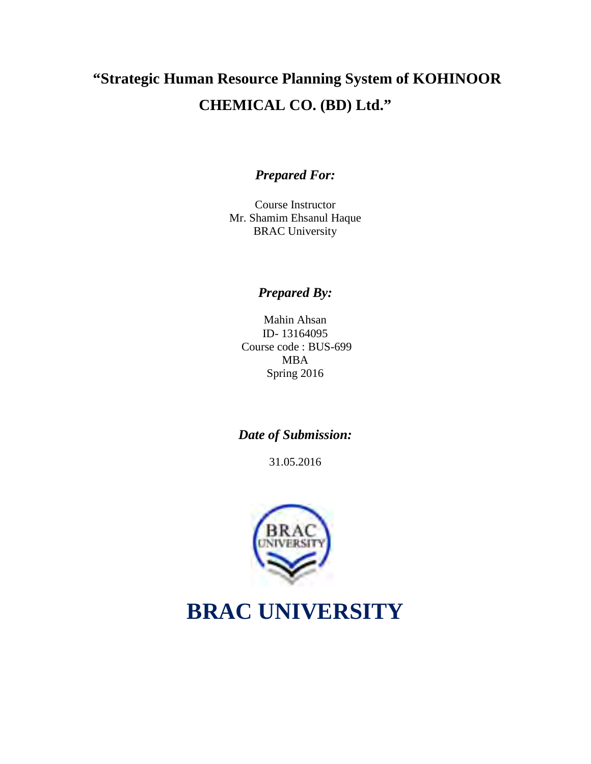# **"Strategic Human Resource Planning System of KOHINOOR CHEMICAL CO. (BD) Ltd."**

## *Prepared For:*

Course Instructor Mr. Shamim Ehsanul Haque BRAC University

## *Prepared By:*

Mahin Ahsan ID- 13164095 Course code : BUS-699 MBA Spring 2016

## *Date of Submission:*

31.05.2016



# **BRAC UNIVERSITY**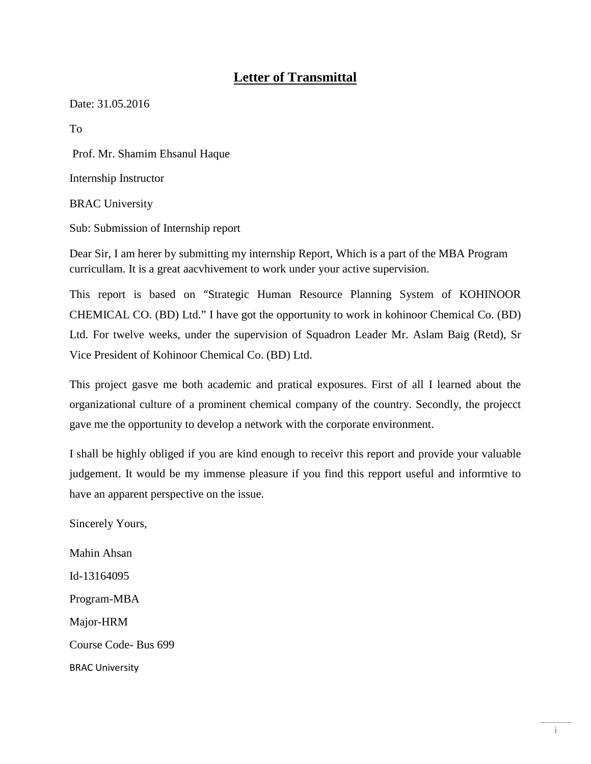## **Letter of Transmittal**

Date: 31.05.2016

To

Prof. Mr. Shamim Ehsanul Haque

Internship Instructor

BRAC University

Sub: Submission of Internship report

Dear Sir, I am herer by submitting my internship Report, Which is a part of the MBA Program curricullam. It is a great aacvhivement to work under your active supervision.

This report is based on "Strategic Human Resource Planning System of KOHINOOR CHEMICAL CO. (BD) Ltd." I have got the opportunity to work in kohinoor Chemical Co. (BD) Ltd. For twelve weeks, under the supervision of Squadron Leader Mr. Aslam Baig (Retd), Sr Vice President of Kohinoor Chemical Co. (BD) Ltd.

This project gasve me both academic and pratical exposures. First of all I learned about the organizational culture of a prominent chemical company of the country. Secondly, the projecct gave me the opportunity to develop a network with the corporate environment.

I shall be highly obliged if you are kind enough to receivr this report and provide your valuable judgement. It would be my immense pleasure if you find this repport useful and informtive to have an apparent perspective on the issue.

Sincerely Yours,

Mahin Ahsan Id-13164095 Program-MBA Major-HRM Course Code- Bus 699 BRAC University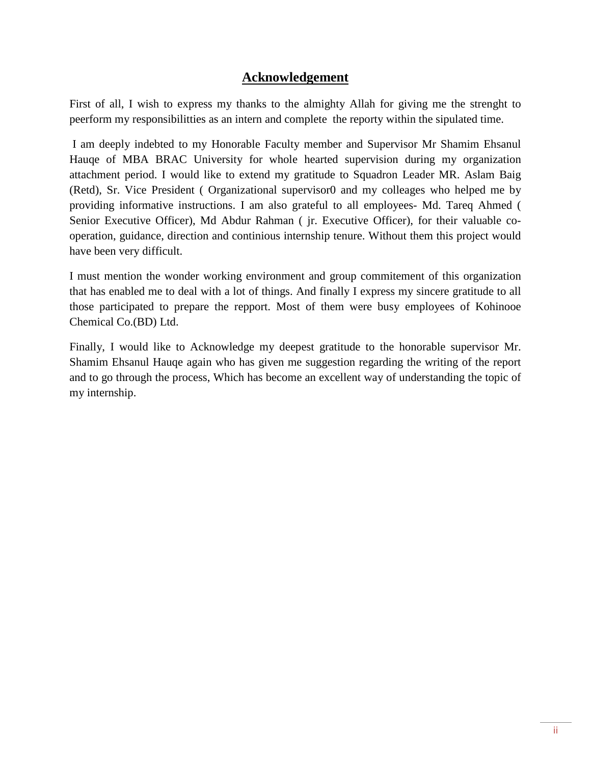## **Acknowledgement**

First of all, I wish to express my thanks to the almighty Allah for giving me the strenght to peerform my responsibilitties as an intern and complete the reporty within the sipulated time.

I am deeply indebted to my Honorable Faculty member and Supervisor Mr Shamim Ehsanul Hauqe of MBA BRAC University for whole hearted supervision during my organization attachment period. I would like to extend my gratitude to Squadron Leader MR. Aslam Baig (Retd), Sr. Vice President ( Organizational supervisor0 and my colleages who helped me by providing informative instructions. I am also grateful to all employees- Md. Tareq Ahmed ( Senior Executive Officer), Md Abdur Rahman ( jr. Executive Officer), for their valuable cooperation, guidance, direction and continious internship tenure. Without them this project would have been very difficult.

I must mention the wonder working environment and group commitement of this organization that has enabled me to deal with a lot of things. And finally I express my sincere gratitude to all those participated to prepare the repport. Most of them were busy employees of Kohinooe Chemical Co.(BD) Ltd.

Finally, I would like to Acknowledge my deepest gratitude to the honorable supervisor Mr. Shamim Ehsanul Hauqe again who has given me suggestion regarding the writing of the report and to go through the process, Which has become an excellent way of understanding the topic of my internship.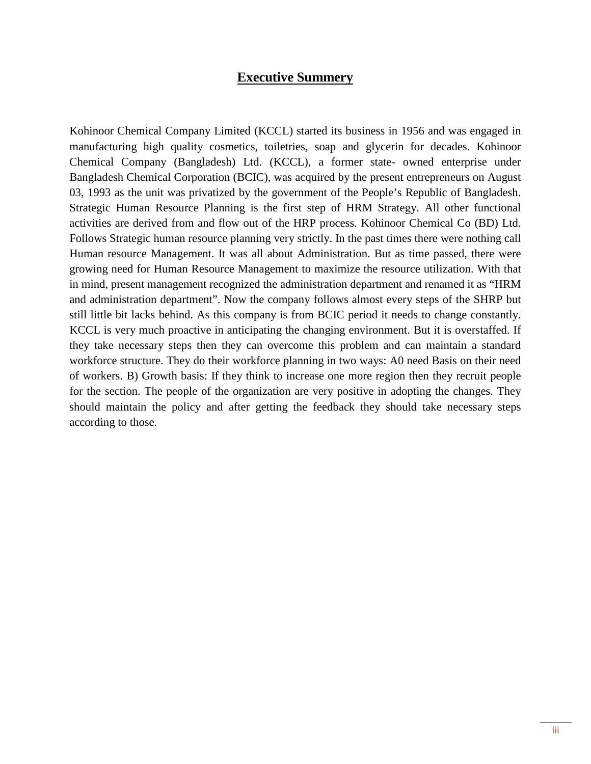## **Executive Summery**

Kohinoor Chemical Company Limited (KCCL) started its business in 1956 and was engaged in manufacturing high quality cosmetics, toiletries, soap and glycerin for decades. Kohinoor Chemical Company (Bangladesh) Ltd. (KCCL), a former state- owned enterprise under Bangladesh Chemical Corporation (BCIC), was acquired by the present entrepreneurs on August 03, 1993 as the unit was privatized by the government of the People's Republic of Bangladesh. Strategic Human Resource Planning is the first step of HRM Strategy. All other functional activities are derived from and flow out of the HRP process. Kohinoor Chemical Co (BD) Ltd. Follows Strategic human resource planning very strictly. In the past times there were nothing call Human resource Management. It was all about Administration. But as time passed, there were growing need for Human Resource Management to maximize the resource utilization. With that in mind, present management recognized the administration department and renamed it as "HRM and administration department". Now the company follows almost every steps of the SHRP but still little bit lacks behind. As this company is from BCIC period it needs to change constantly. KCCL is very much proactive in anticipating the changing environment. But it is overstaffed. If they take necessary steps then they can overcome this problem and can maintain a standard workforce structure. They do their workforce planning in two ways: A0 need Basis on their need of workers. B) Growth basis: If they think to increase one more region then they recruit people for the section. The people of the organization are very positive in adopting the changes. They should maintain the policy and after getting the feedback they should take necessary steps according to those.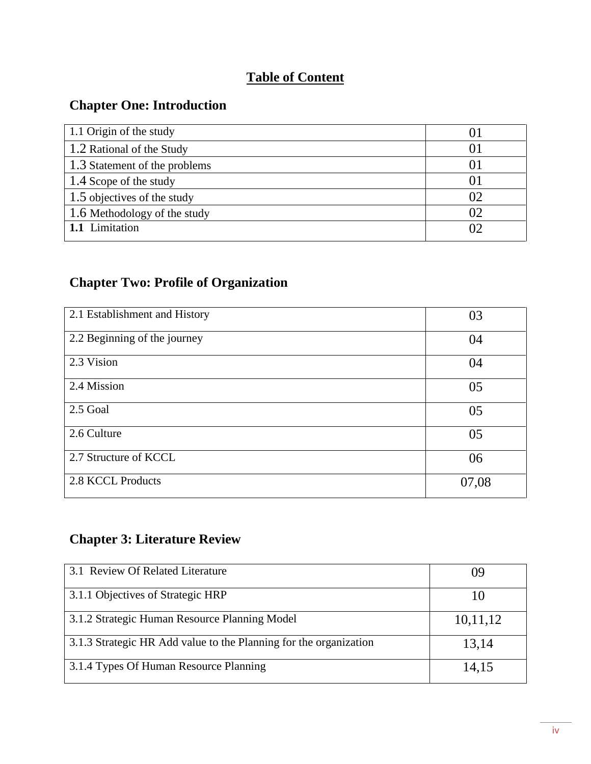## **Table of Content**

## **Chapter One: Introduction**

| 1.1 Origin of the study       | O.             |
|-------------------------------|----------------|
| 1.2 Rational of the Study     | O              |
| 1.3 Statement of the problems | O.             |
| 1.4 Scope of the study        | O.             |
| 1.5 objectives of the study   | 02             |
| 1.6 Methodology of the study  | 02             |
| 1.1 Limitation                | O <sup>2</sup> |

## **Chapter Two: Profile of Organization**

| 2.1 Establishment and History | 03    |
|-------------------------------|-------|
| 2.2 Beginning of the journey  | 04    |
| 2.3 Vision                    | 04    |
| 2.4 Mission                   | 05    |
| 2.5 Goal                      | 05    |
| 2.6 Culture                   | 05    |
| 2.7 Structure of KCCL         | 06    |
| 2.8 KCCL Products             | 07,08 |

## **Chapter 3: Literature Review**

| 3.1 Review Of Related Literature                                  |          |
|-------------------------------------------------------------------|----------|
| 3.1.1 Objectives of Strategic HRP                                 | 10       |
| 3.1.2 Strategic Human Resource Planning Model                     | 10,11,12 |
| 3.1.3 Strategic HR Add value to the Planning for the organization | 13,14    |
| 3.1.4 Types Of Human Resource Planning                            | 14,15    |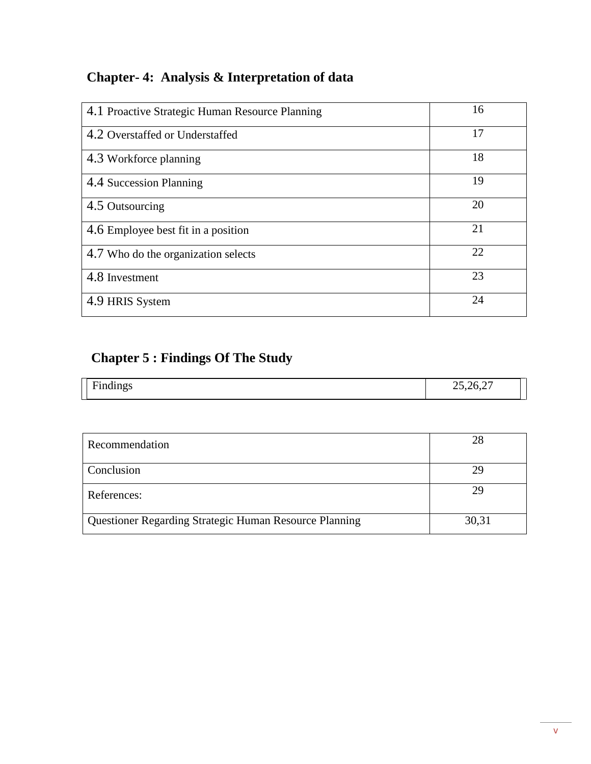## **Chapter- 4: Analysis & Interpretation of data**

| 4.1 Proactive Strategic Human Resource Planning | 16 |
|-------------------------------------------------|----|
| 4.2 Overstaffed or Understaffed                 | 17 |
| 4.3 Workforce planning                          | 18 |
| 4.4 Succession Planning                         | 19 |
| 4.5 Outsourcing                                 | 20 |
| 4.6 Employee best fit in a position             | 21 |
| 4.7 Who do the organization selects             | 22 |
| 4.8 Investment                                  | 23 |
| 4.9 HRIS System                                 | 24 |

## **Chapter 5 : Findings Of The Study**

| $\rightarrow$<br>$\mathbf{r}$<br>$-22$<br>$\mu$ dingv<br>-<br>~ | $\sim$<br>$\sim, \sim$ 1<br><u>_</u><br>$\sim$ |  |
|-----------------------------------------------------------------|------------------------------------------------|--|
|                                                                 |                                                |  |

| Recommendation                                         | 28    |
|--------------------------------------------------------|-------|
| Conclusion                                             | 29    |
| References:                                            | 29    |
| Questioner Regarding Strategic Human Resource Planning | 30,31 |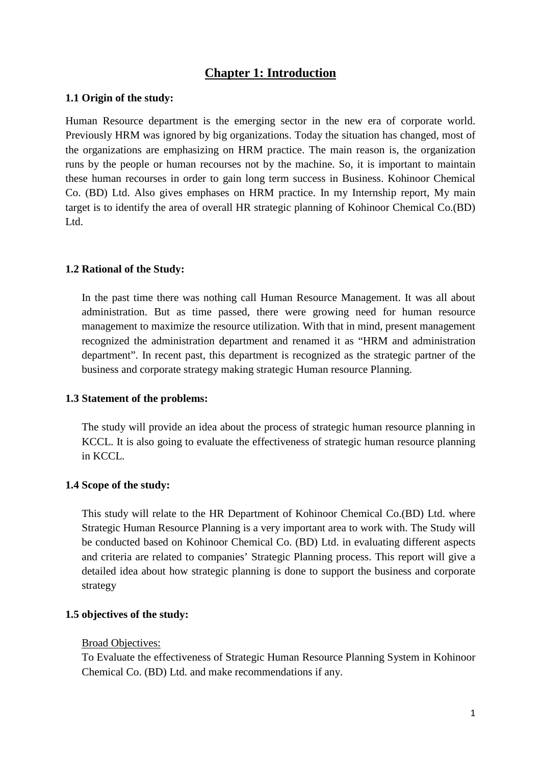## **Chapter 1: Introduction**

#### **1.1 Origin of the study:**

Human Resource department is the emerging sector in the new era of corporate world. Previously HRM was ignored by big organizations. Today the situation has changed, most of the organizations are emphasizing on HRM practice. The main reason is, the organization runs by the people or human recourses not by the machine. So, it is important to maintain these human recourses in order to gain long term success in Business. Kohinoor Chemical Co. (BD) Ltd. Also gives emphases on HRM practice. In my Internship report, My main target is to identify the area of overall HR strategic planning of Kohinoor Chemical Co.(BD) Ltd.

#### **1.2 Rational of the Study:**

In the past time there was nothing call Human Resource Management. It was all about administration. But as time passed, there were growing need for human resource management to maximize the resource utilization. With that in mind, present management recognized the administration department and renamed it as "HRM and administration department". In recent past, this department is recognized as the strategic partner of the business and corporate strategy making strategic Human resource Planning.

#### **1.3 Statement of the problems:**

The study will provide an idea about the process of strategic human resource planning in KCCL. It is also going to evaluate the effectiveness of strategic human resource planning in KCCL.

#### **1.4 Scope of the study:**

This study will relate to the HR Department of Kohinoor Chemical Co.(BD) Ltd. where Strategic Human Resource Planning is a very important area to work with. The Study will be conducted based on Kohinoor Chemical Co. (BD) Ltd. in evaluating different aspects and criteria are related to companies' Strategic Planning process. This report will give a detailed idea about how strategic planning is done to support the business and corporate strategy

#### **1.5 objectives of the study:**

#### Broad Objectives:

To Evaluate the effectiveness of Strategic Human Resource Planning System in Kohinoor Chemical Co. (BD) Ltd. and make recommendations if any.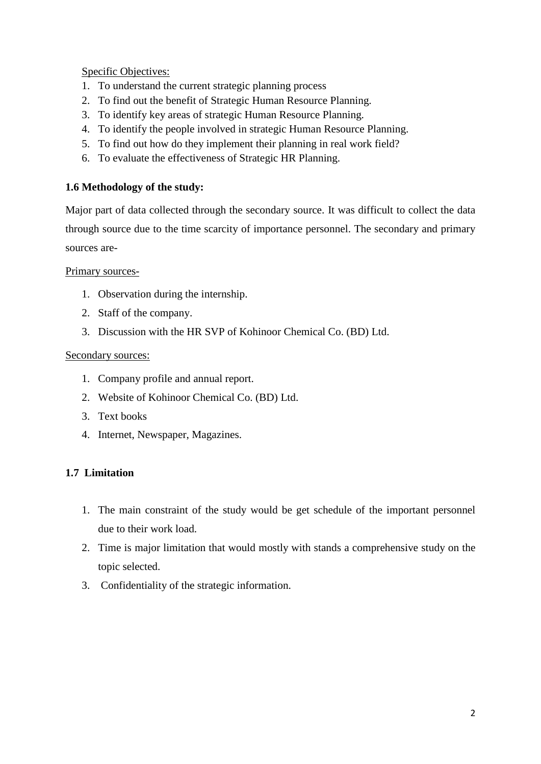Specific Objectives:

- 1. To understand the current strategic planning process
- 2. To find out the benefit of Strategic Human Resource Planning.
- 3. To identify key areas of strategic Human Resource Planning.
- 4. To identify the people involved in strategic Human Resource Planning.
- 5. To find out how do they implement their planning in real work field?
- 6. To evaluate the effectiveness of Strategic HR Planning.

## **1.6 Methodology of the study:**

Major part of data collected through the secondary source. It was difficult to collect the data through source due to the time scarcity of importance personnel. The secondary and primary sources are-

Primary sources-

- 1. Observation during the internship.
- 2. Staff of the company.
- 3. Discussion with the HR SVP of Kohinoor Chemical Co. (BD) Ltd.

## Secondary sources:

- 1. Company profile and annual report.
- 2. Website of Kohinoor Chemical Co. (BD) Ltd.
- 3. Text books
- 4. Internet, Newspaper, Magazines.

## **1.7 Limitation**

- 1. The main constraint of the study would be get schedule of the important personnel due to their work load.
- 2. Time is major limitation that would mostly with stands a comprehensive study on the topic selected.
- 3. Confidentiality of the strategic information.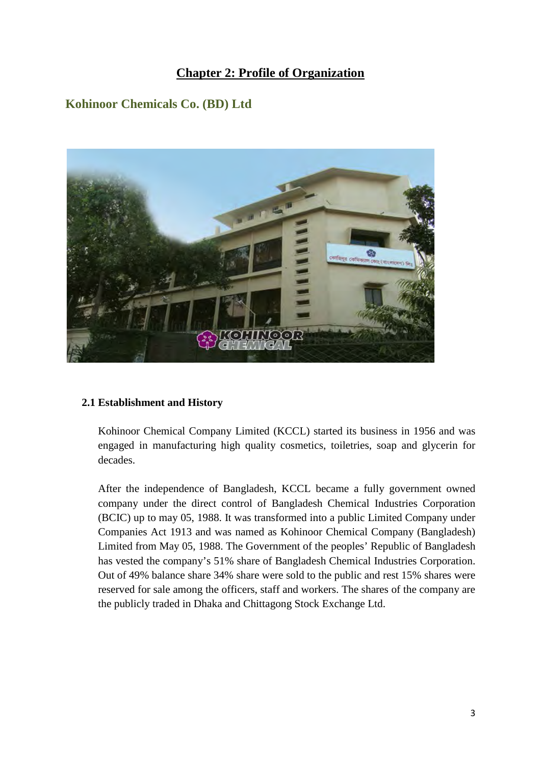## **Chapter 2: Profile of Organization**

## **Kohinoor Chemicals Co. (BD) Ltd**



#### **2.1 Establishment and History**

Kohinoor Chemical Company Limited (KCCL) started its business in 1956 and was engaged in manufacturing high quality cosmetics, toiletries, soap and glycerin for decades.

After the independence of Bangladesh, KCCL became a fully government owned company under the direct control of Bangladesh Chemical Industries Corporation (BCIC) up to may 05, 1988. It was transformed into a public Limited Company under Companies Act 1913 and was named as Kohinoor Chemical Company (Bangladesh) Limited from May 05, 1988. The Government of the peoples' Republic of Bangladesh has vested the company's 51% share of Bangladesh Chemical Industries Corporation. Out of 49% balance share 34% share were sold to the public and rest 15% shares were reserved for sale among the officers, staff and workers. The shares of the company are the publicly traded in Dhaka and Chittagong Stock Exchange Ltd.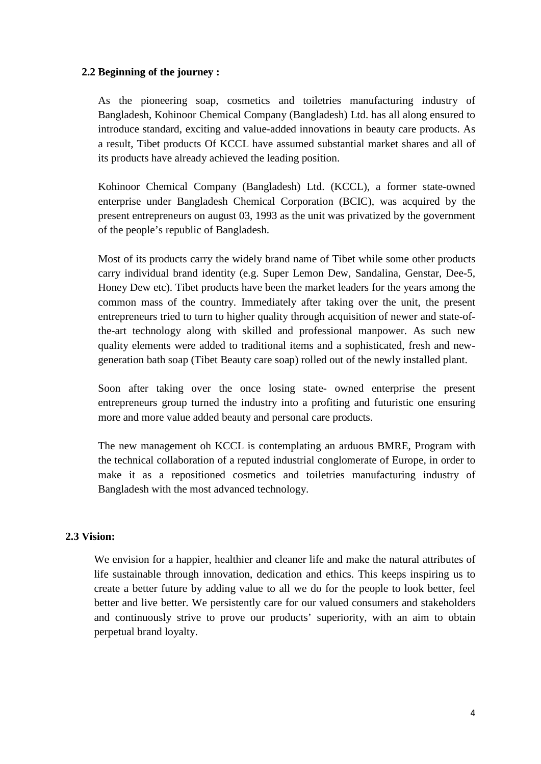#### **2.2 Beginning of the journey :**

As the pioneering soap, cosmetics and toiletries manufacturing industry of Bangladesh, Kohinoor Chemical Company (Bangladesh) Ltd. has all along ensured to introduce standard, exciting and value-added innovations in beauty care products. As a result, Tibet products Of KCCL have assumed substantial market shares and all of its products have already achieved the leading position.

Kohinoor Chemical Company (Bangladesh) Ltd. (KCCL), a former state-owned enterprise under Bangladesh Chemical Corporation (BCIC), was acquired by the present entrepreneurs on august 03, 1993 as the unit was privatized by the government of the people's republic of Bangladesh.

Most of its products carry the widely brand name of Tibet while some other products carry individual brand identity (e.g. Super Lemon Dew, Sandalina, Genstar, Dee-5, Honey Dew etc). Tibet products have been the market leaders for the years among the common mass of the country. Immediately after taking over the unit, the present entrepreneurs tried to turn to higher quality through acquisition of newer and state-ofthe-art technology along with skilled and professional manpower. As such new quality elements were added to traditional items and a sophisticated, fresh and newgeneration bath soap (Tibet Beauty care soap) rolled out of the newly installed plant.

Soon after taking over the once losing state- owned enterprise the present entrepreneurs group turned the industry into a profiting and futuristic one ensuring more and more value added beauty and personal care products.

The new management oh KCCL is contemplating an arduous BMRE, Program with the technical collaboration of a reputed industrial conglomerate of Europe, in order to make it as a repositioned cosmetics and toiletries manufacturing industry of Bangladesh with the most advanced technology.

## **2.3 Vision:**

We envision for a happier, healthier and cleaner life and make the natural attributes of life sustainable through innovation, dedication and ethics. This keeps inspiring us to create a better future by adding value to all we do for the people to look better, feel better and live better. We persistently care for our valued consumers and stakeholders and continuously strive to prove our products' superiority, with an aim to obtain perpetual brand loyalty.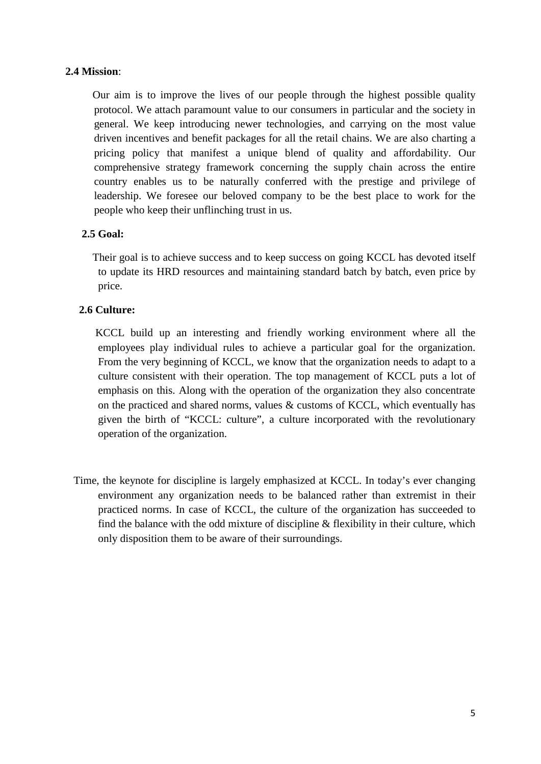## **2.4 Mission**:

 Our aim is to improve the lives of our people through the highest possible quality protocol. We attach paramount value to our consumers in particular and the society in general. We keep introducing newer technologies, and carrying on the most value driven incentives and benefit packages for all the retail chains. We are also charting a pricing policy that manifest a unique blend of quality and affordability. Our comprehensive strategy framework concerning the supply chain across the entire country enables us to be naturally conferred with the prestige and privilege of leadership. We foresee our beloved company to be the best place to work for the people who keep their unflinching trust in us.

## **2.5 Goal:**

 Their goal is to achieve success and to keep success on going KCCL has devoted itself to update its HRD resources and maintaining standard batch by batch, even price by price.

## **2.6 Culture:**

 KCCL build up an interesting and friendly working environment where all the employees play individual rules to achieve a particular goal for the organization. From the very beginning of KCCL, we know that the organization needs to adapt to a culture consistent with their operation. The top management of KCCL puts a lot of emphasis on this. Along with the operation of the organization they also concentrate on the practiced and shared norms, values & customs of KCCL, which eventually has given the birth of "KCCL: culture", a culture incorporated with the revolutionary operation of the organization.

Time, the keynote for discipline is largely emphasized at KCCL. In today's ever changing environment any organization needs to be balanced rather than extremist in their practiced norms. In case of KCCL, the culture of the organization has succeeded to find the balance with the odd mixture of discipline & flexibility in their culture, which only disposition them to be aware of their surroundings.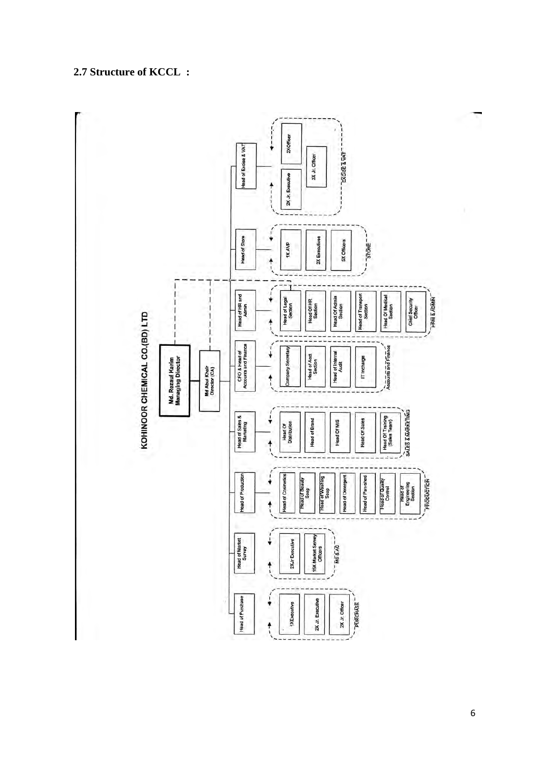## **2.7 Structure of KCCL :**

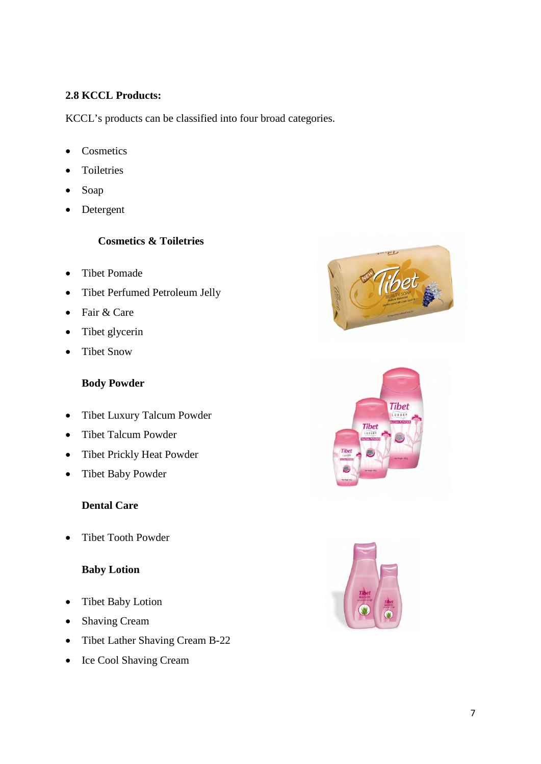## **2.8 KCCL Products:**

KCCL's products can be classified into four broad categories.

- Cosmetics
- Toiletries
- Soap
- Detergent

## **Cosmetics & Toiletries**

- Tibet Pomade
- Tibet Perfumed Petroleum Jelly
- Fair & Care
- Tibet glycerin
- Tibet Snow

## **Body Powder**

- Tibet Luxury Talcum Powder
- Tibet Talcum Powder
- Tibet Prickly Heat Powder
- Tibet Baby Powder

## **Dental Care**

• Tibet Tooth Powder

## **Baby Lotion**

- Tibet Baby Lotion
- Shaving Cream
- Tibet Lather Shaving Cream B-22
- Ice Cool Shaving Cream





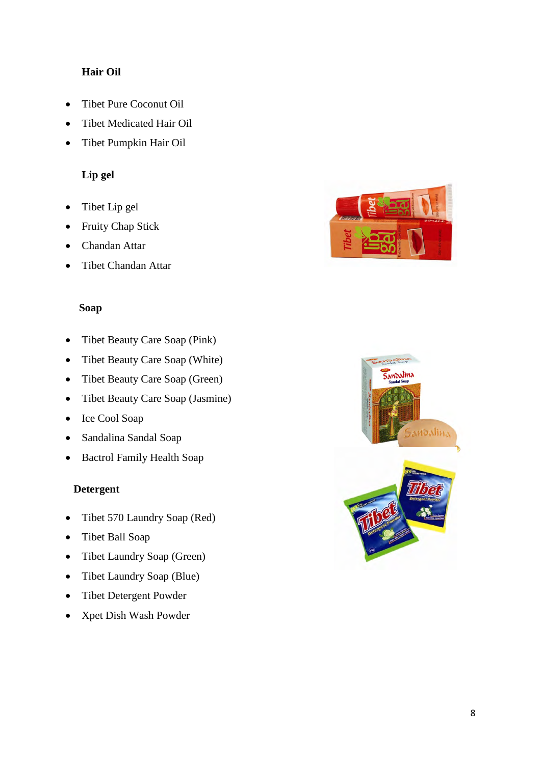## **Hair Oil**

- Tibet Pure Coconut Oil
- Tibet Medicated Hair Oil
- Tibet Pumpkin Hair Oil

## **Lip gel**

- Tibet Lip gel
- Fruity Chap Stick
- Chandan Attar
- Tibet Chandan Attar

#### **Soap**

- Tibet Beauty Care Soap (Pink)
- Tibet Beauty Care Soap (White)
- Tibet Beauty Care Soap (Green)
- Tibet Beauty Care Soap (Jasmine)
- Ice Cool Soap
- Sandalina Sandal Soap
- Bactrol Family Health Soap

### **Detergent**

- Tibet 570 Laundry Soap (Red)
- Tibet Ball Soap
- Tibet Laundry Soap (Green)
- Tibet Laundry Soap (Blue)
- Tibet Detergent Powder
- Xpet Dish Wash Powder



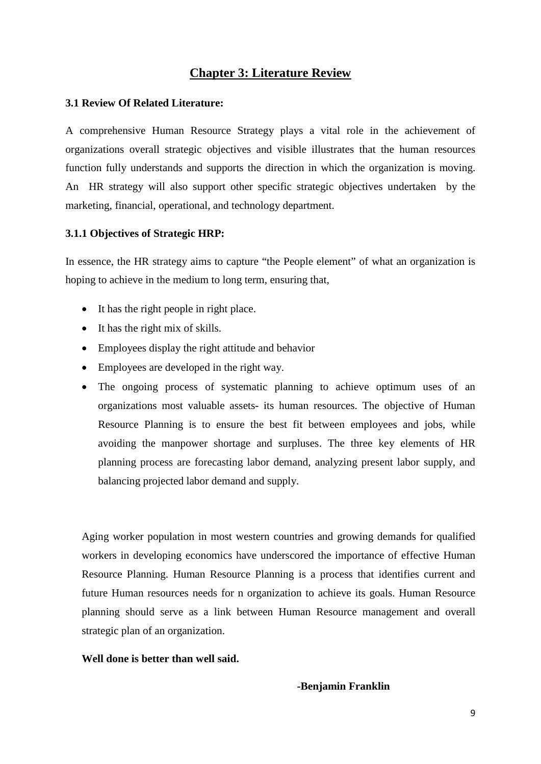## **Chapter 3: Literature Review**

#### **3.1 Review Of Related Literature:**

A comprehensive Human Resource Strategy plays a vital role in the achievement of organizations overall strategic objectives and visible illustrates that the human resources function fully understands and supports the direction in which the organization is moving. An HR strategy will also support other specific strategic objectives undertaken by the marketing, financial, operational, and technology department.

#### **3.1.1 Objectives of Strategic HRP:**

In essence, the HR strategy aims to capture "the People element" of what an organization is hoping to achieve in the medium to long term, ensuring that,

- It has the right people in right place.
- It has the right mix of skills.
- Employees display the right attitude and behavior
- Employees are developed in the right way.
- The ongoing process of systematic planning to achieve optimum uses of an organizations most valuable assets- its human resources. The objective of Human Resource Planning is to ensure the best fit between employees and jobs, while avoiding the manpower shortage and surpluses. The three key elements of HR planning process are forecasting labor demand, analyzing present labor supply, and balancing projected labor demand and supply.

Aging worker population in most western countries and growing demands for qualified workers in developing economics have underscored the importance of effective Human Resource Planning. Human Resource Planning is a process that identifies current and future Human resources needs for n organization to achieve its goals. Human Resource planning should serve as a link between Human Resource management and overall strategic plan of an organization.

#### **Well done is better than well said.**

#### **-Benjamin Franklin**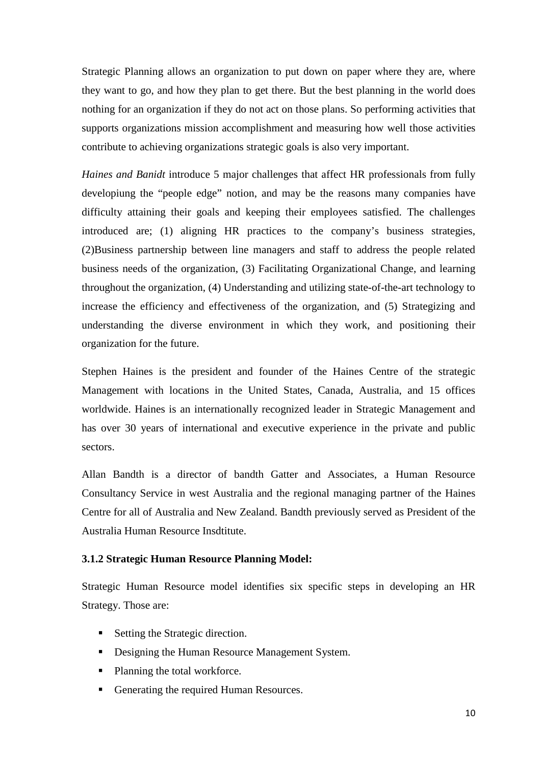Strategic Planning allows an organization to put down on paper where they are, where they want to go, and how they plan to get there. But the best planning in the world does nothing for an organization if they do not act on those plans. So performing activities that supports organizations mission accomplishment and measuring how well those activities contribute to achieving organizations strategic goals is also very important.

*Haines and Banidt* introduce 5 major challenges that affect HR professionals from fully developiung the "people edge" notion, and may be the reasons many companies have difficulty attaining their goals and keeping their employees satisfied. The challenges introduced are; (1) aligning HR practices to the company's business strategies, (2)Business partnership between line managers and staff to address the people related business needs of the organization, (3) Facilitating Organizational Change, and learning throughout the organization, (4) Understanding and utilizing state-of-the-art technology to increase the efficiency and effectiveness of the organization, and (5) Strategizing and understanding the diverse environment in which they work, and positioning their organization for the future.

Stephen Haines is the president and founder of the Haines Centre of the strategic Management with locations in the United States, Canada, Australia, and 15 offices worldwide. Haines is an internationally recognized leader in Strategic Management and has over 30 years of international and executive experience in the private and public sectors.

Allan Bandth is a director of bandth Gatter and Associates, a Human Resource Consultancy Service in west Australia and the regional managing partner of the Haines Centre for all of Australia and New Zealand. Bandth previously served as President of the Australia Human Resource Insdtitute.

#### **3.1.2 Strategic Human Resource Planning Model:**

Strategic Human Resource model identifies six specific steps in developing an HR Strategy. Those are:

- Setting the Strategic direction.
- Designing the Human Resource Management System.
- Planning the total workforce.
- Generating the required Human Resources.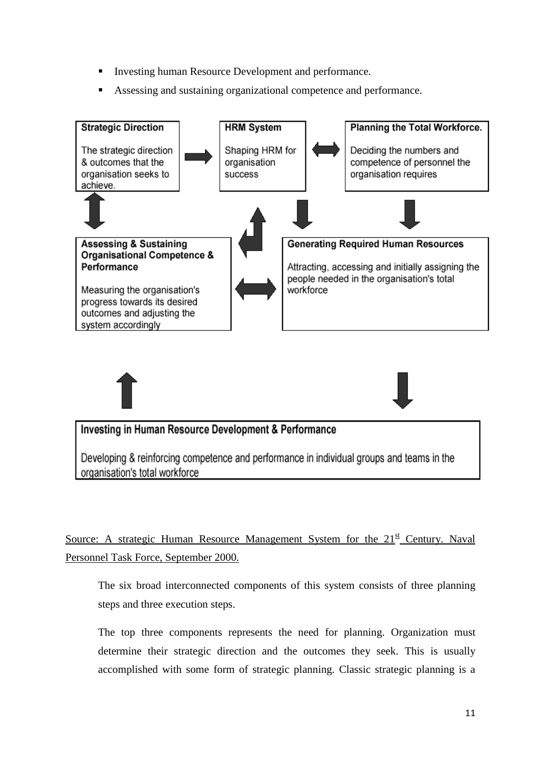- Investing human Resource Development and performance.
- Assessing and sustaining organizational competence and performance.





## Investing in Human Resource Development & Performance

Developing & reinforcing competence and performance in individual groups and teams in the organisation's total workforce

Source: A strategic Human Resource Management System for the  $21<sup>st</sup>$  Century. Naval Personnel Task Force, September 2000.

The six broad interconnected components of this system consists of three planning steps and three execution steps.

The top three components represents the need for planning. Organization must determine their strategic direction and the outcomes they seek. This is usually accomplished with some form of strategic planning. Classic strategic planning is a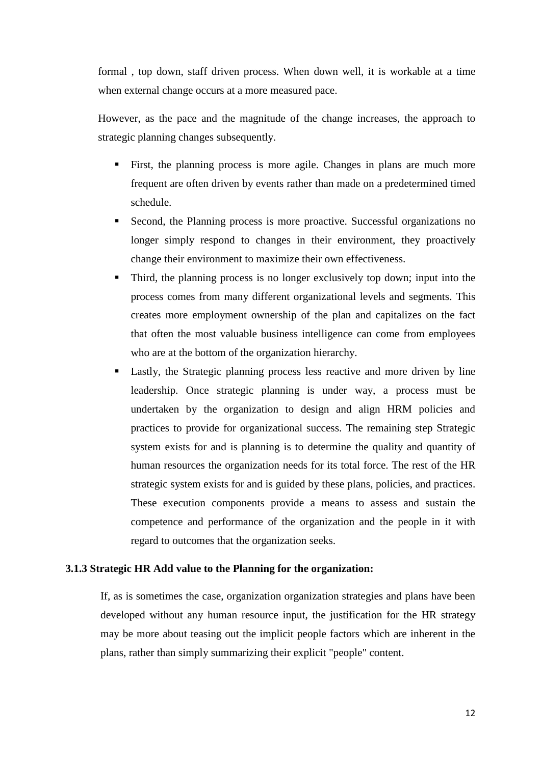formal , top down, staff driven process. When down well, it is workable at a time when external change occurs at a more measured pace.

However, as the pace and the magnitude of the change increases, the approach to strategic planning changes subsequently.

- First, the planning process is more agile. Changes in plans are much more frequent are often driven by events rather than made on a predetermined timed schedule.
- Second, the Planning process is more proactive. Successful organizations no longer simply respond to changes in their environment, they proactively change their environment to maximize their own effectiveness.
- Third, the planning process is no longer exclusively top down; input into the process comes from many different organizational levels and segments. This creates more employment ownership of the plan and capitalizes on the fact that often the most valuable business intelligence can come from employees who are at the bottom of the organization hierarchy.
- Lastly, the Strategic planning process less reactive and more driven by line leadership. Once strategic planning is under way, a process must be undertaken by the organization to design and align HRM policies and practices to provide for organizational success. The remaining step Strategic system exists for and is planning is to determine the quality and quantity of human resources the organization needs for its total force. The rest of the HR strategic system exists for and is guided by these plans, policies, and practices. These execution components provide a means to assess and sustain the competence and performance of the organization and the people in it with regard to outcomes that the organization seeks.

#### **3.1.3 Strategic HR Add value to the Planning for the organization:**

If, as is sometimes the case, organization organization strategies and plans have been developed without any human resource input, the justification for the HR strategy may be more about teasing out the implicit people factors which are inherent in the plans, rather than simply summarizing their explicit "people" content.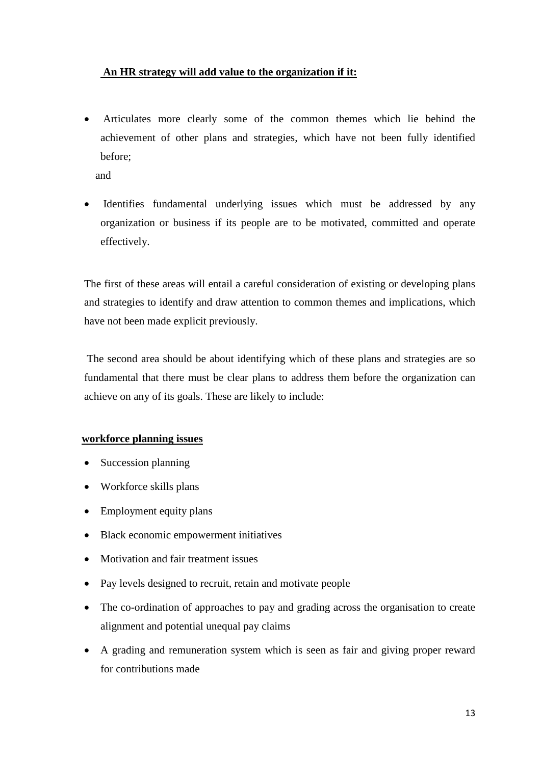### **An HR strategy will add value to the organization if it:**

• Articulates more clearly some of the common themes which lie behind the achievement of other plans and strategies, which have not been fully identified before;

and

• Identifies fundamental underlying issues which must be addressed by any organization or business if its people are to be motivated, committed and operate effectively.

The first of these areas will entail a careful consideration of existing or developing plans and strategies to identify and draw attention to common themes and implications, which have not been made explicit previously.

The second area should be about identifying which of these plans and strategies are so fundamental that there must be clear plans to address them before the organization can achieve on any of its goals. These are likely to include:

## **workforce planning issues**

- Succession planning
- Workforce skills plans
- Employment equity plans
- Black economic empowerment initiatives
- Motivation and fair treatment issues
- Pay levels designed to recruit, retain and motivate people
- The co-ordination of approaches to pay and grading across the organisation to create alignment and potential unequal pay claims
- A grading and remuneration system which is seen as fair and giving proper reward for contributions made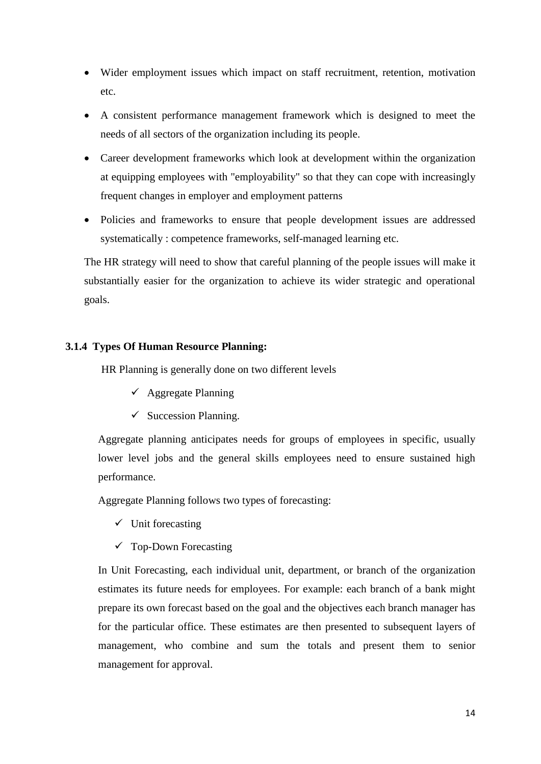- Wider employment issues which impact on staff recruitment, retention, motivation etc.
- A consistent performance management framework which is designed to meet the needs of all sectors of the organization including its people.
- Career development frameworks which look at development within the organization at equipping employees with "employability" so that they can cope with increasingly frequent changes in employer and employment patterns
- Policies and frameworks to ensure that people development issues are addressed systematically : competence frameworks, self-managed learning etc.

The HR strategy will need to show that careful planning of the people issues will make it substantially easier for the organization to achieve its wider strategic and operational goals.

## **3.1.4 Types Of Human Resource Planning:**

HR Planning is generally done on two different levels

- $\checkmark$  Aggregate Planning
- $\checkmark$  Succession Planning.

Aggregate planning anticipates needs for groups of employees in specific, usually lower level jobs and the general skills employees need to ensure sustained high performance.

Aggregate Planning follows two types of forecasting:

- $\checkmark$  Unit forecasting
- $\checkmark$  Top-Down Forecasting

In Unit Forecasting, each individual unit, department, or branch of the organization estimates its future needs for employees. For example: each branch of a bank might prepare its own forecast based on the goal and the objectives each branch manager has for the particular office. These estimates are then presented to subsequent layers of management, who combine and sum the totals and present them to senior management for approval.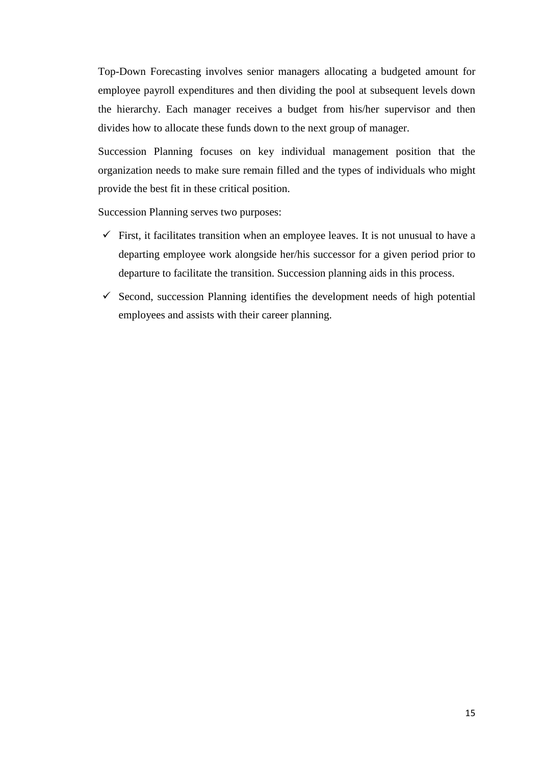Top-Down Forecasting involves senior managers allocating a budgeted amount for employee payroll expenditures and then dividing the pool at subsequent levels down the hierarchy. Each manager receives a budget from his/her supervisor and then divides how to allocate these funds down to the next group of manager.

Succession Planning focuses on key individual management position that the organization needs to make sure remain filled and the types of individuals who might provide the best fit in these critical position.

Succession Planning serves two purposes:

- $\checkmark$  First, it facilitates transition when an employee leaves. It is not unusual to have a departing employee work alongside her/his successor for a given period prior to departure to facilitate the transition. Succession planning aids in this process.
- $\checkmark$  Second, succession Planning identifies the development needs of high potential employees and assists with their career planning.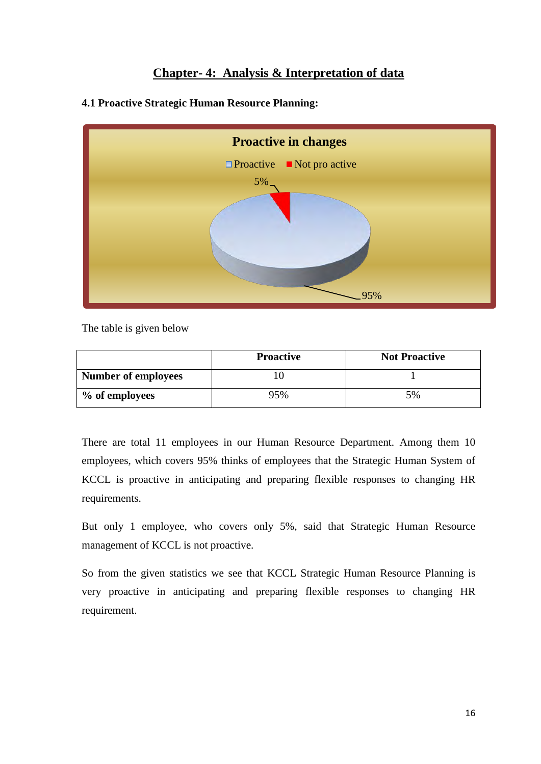## **Chapter- 4: Analysis & Interpretation of data**



**4.1 Proactive Strategic Human Resource Planning:**

The table is given below

|                            | <b>Proactive</b> | <b>Not Proactive</b> |
|----------------------------|------------------|----------------------|
| <b>Number of employees</b> |                  |                      |
| % of employees             | 95%              | 5%                   |

There are total 11 employees in our Human Resource Department. Among them 10 employees, which covers 95% thinks of employees that the Strategic Human System of KCCL is proactive in anticipating and preparing flexible responses to changing HR requirements.

But only 1 employee, who covers only 5%, said that Strategic Human Resource management of KCCL is not proactive.

So from the given statistics we see that KCCL Strategic Human Resource Planning is very proactive in anticipating and preparing flexible responses to changing HR requirement.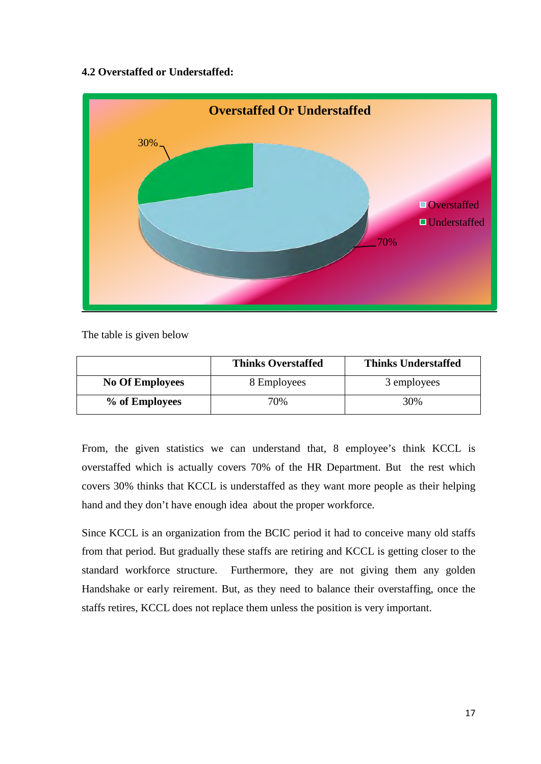## **4.2 Overstaffed or Understaffed:**



The table is given below

|                        | <b>Thinks Overstaffed</b> | <b>Thinks Understaffed</b> |
|------------------------|---------------------------|----------------------------|
| <b>No Of Employees</b> | 8 Employees               | 3 employees                |
| % of Employees         | 70%                       | 30%                        |

From, the given statistics we can understand that, 8 employee's think KCCL is overstaffed which is actually covers 70% of the HR Department. But the rest which covers 30% thinks that KCCL is understaffed as they want more people as their helping hand and they don't have enough idea about the proper workforce.

Since KCCL is an organization from the BCIC period it had to conceive many old staffs from that period. But gradually these staffs are retiring and KCCL is getting closer to the standard workforce structure. Furthermore, they are not giving them any golden Handshake or early reirement. But, as they need to balance their overstaffing, once the staffs retires, KCCL does not replace them unless the position is very important.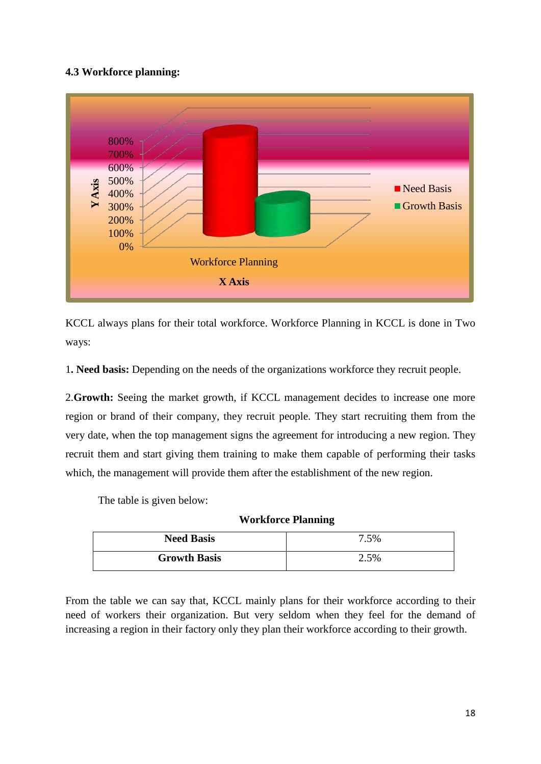## **4.3 Workforce planning:**



KCCL always plans for their total workforce. Workforce Planning in KCCL is done in Two ways:

1**. Need basis:** Depending on the needs of the organizations workforce they recruit people.

2.**Growth:** Seeing the market growth, if KCCL management decides to increase one more region or brand of their company, they recruit people. They start recruiting them from the very date, when the top management signs the agreement for introducing a new region. They recruit them and start giving them training to make them capable of performing their tasks which, the management will provide them after the establishment of the new region.

The table is given below:

**Workforce Planning**

| <b>Need Basis</b>   | 7.5% |
|---------------------|------|
| <b>Growth Basis</b> | 2.5% |

From the table we can say that, KCCL mainly plans for their workforce according to their need of workers their organization. But very seldom when they feel for the demand of increasing a region in their factory only they plan their workforce according to their growth.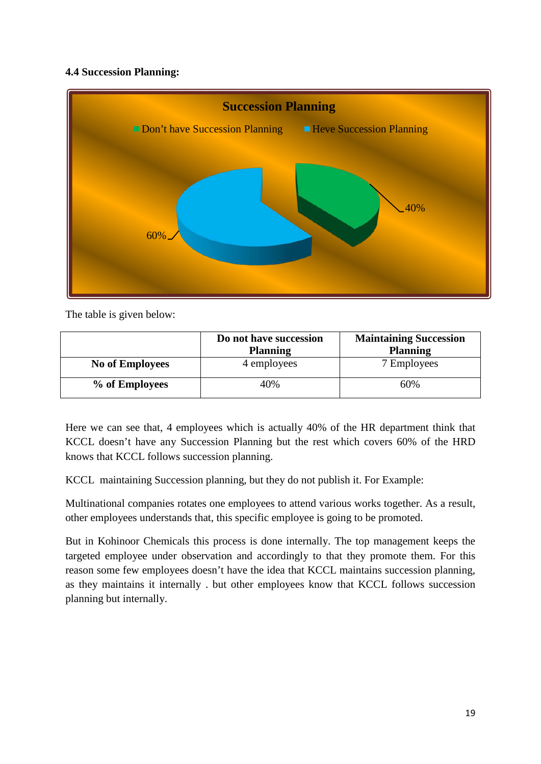## **4.4 Succession Planning:**



The table is given below:

|                        | Do not have succession | <b>Maintaining Succession</b> |
|------------------------|------------------------|-------------------------------|
|                        | <b>Planning</b>        | <b>Planning</b>               |
| <b>No of Employees</b> | 4 employees            | 7 Employees                   |
| % of Employees         | 40%                    | 60%                           |

Here we can see that, 4 employees which is actually 40% of the HR department think that KCCL doesn't have any Succession Planning but the rest which covers 60% of the HRD knows that KCCL follows succession planning.

KCCL maintaining Succession planning, but they do not publish it. For Example:

Multinational companies rotates one employees to attend various works together. As a result, other employees understands that, this specific employee is going to be promoted.

But in Kohinoor Chemicals this process is done internally. The top management keeps the targeted employee under observation and accordingly to that they promote them. For this reason some few employees doesn't have the idea that KCCL maintains succession planning, as they maintains it internally . but other employees know that KCCL follows succession planning but internally.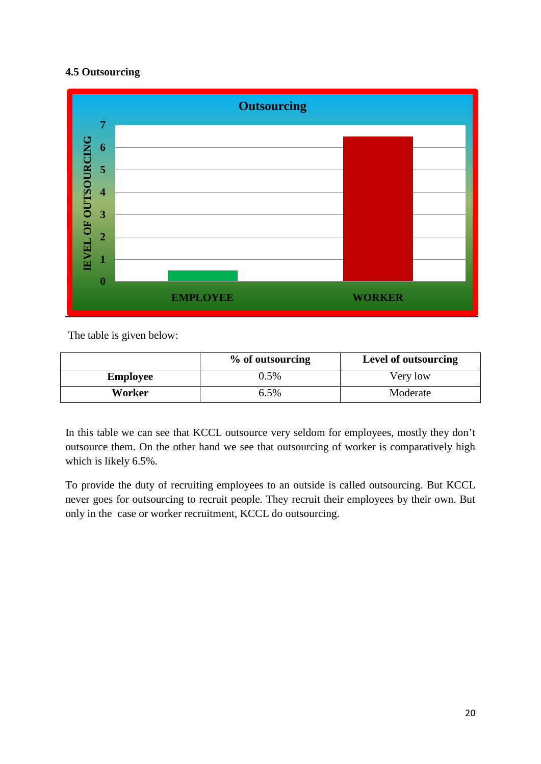## **4.5 Outsourcing**



The table is given below:

|                 | % of outsourcing | Level of outsourcing |
|-----------------|------------------|----------------------|
| <b>Employee</b> | 0.5%             | Very low             |
| Worker          | 6.5%             | Moderate             |

In this table we can see that KCCL outsource very seldom for employees, mostly they don't outsource them. On the other hand we see that outsourcing of worker is comparatively high which is likely 6.5%.

To provide the duty of recruiting employees to an outside is called outsourcing. But KCCL never goes for outsourcing to recruit people. They recruit their employees by their own. But only in the case or worker recruitment, KCCL do outsourcing.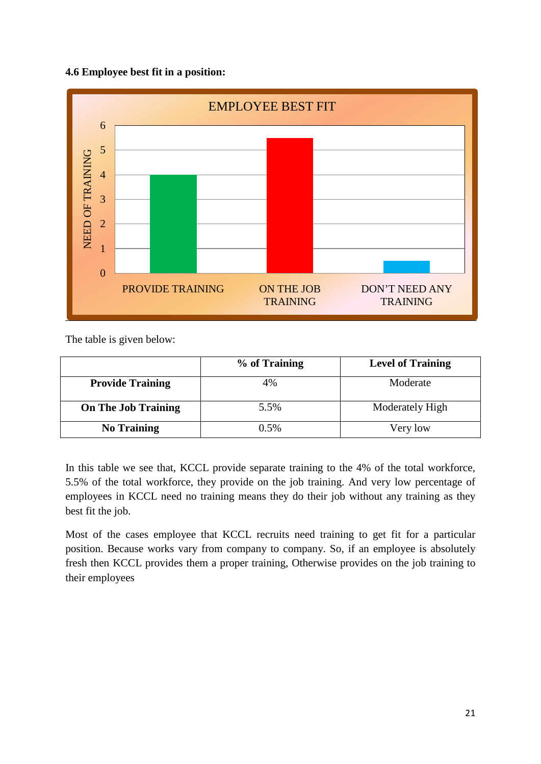## **4.6 Employee best fit in a position:**



The table is given below:

|                            | % of Training | <b>Level of Training</b> |
|----------------------------|---------------|--------------------------|
| <b>Provide Training</b>    | 4%            | Moderate                 |
| <b>On The Job Training</b> | 5.5%          | Moderately High          |
| <b>No Training</b>         | 0.5%          | Very low                 |

In this table we see that, KCCL provide separate training to the 4% of the total workforce, 5.5% of the total workforce, they provide on the job training. And very low percentage of employees in KCCL need no training means they do their job without any training as they best fit the job.

Most of the cases employee that KCCL recruits need training to get fit for a particular position. Because works vary from company to company. So, if an employee is absolutely fresh then KCCL provides them a proper training, Otherwise provides on the job training to their employees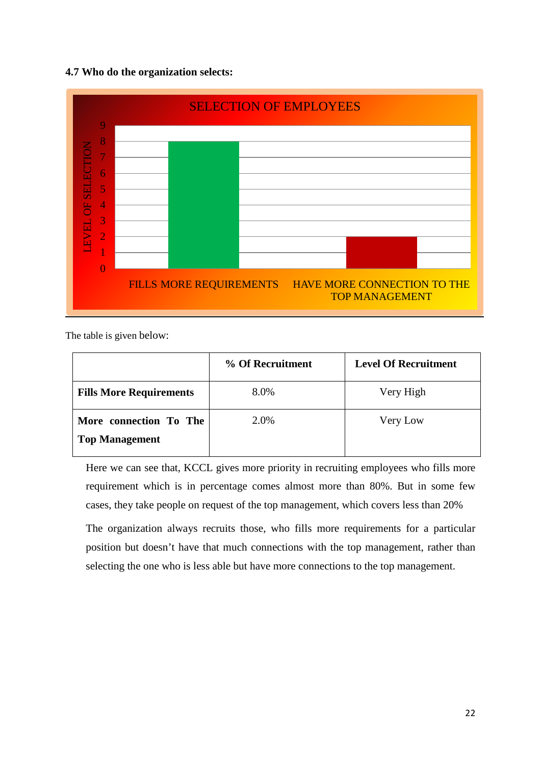### **4.7 Who do the organization selects:**



The table is given below:

|                                                 | % Of Recruitment | <b>Level Of Recruitment</b> |
|-------------------------------------------------|------------------|-----------------------------|
| <b>Fills More Requirements</b>                  | 8.0%             | Very High                   |
| More connection To The<br><b>Top Management</b> | 2.0%             | Very Low                    |

Here we can see that, KCCL gives more priority in recruiting employees who fills more requirement which is in percentage comes almost more than 80%. But in some few cases, they take people on request of the top management, which covers less than 20%

The organization always recruits those, who fills more requirements for a particular position but doesn't have that much connections with the top management, rather than selecting the one who is less able but have more connections to the top management.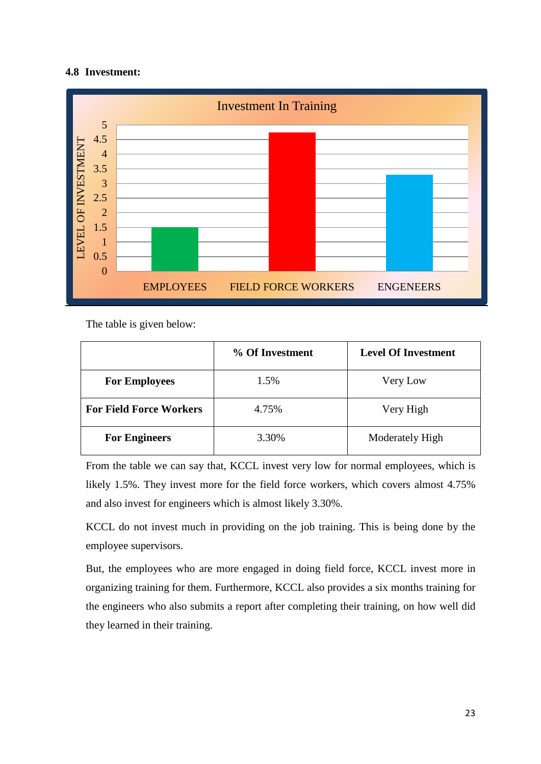## **4.8 Investment:**



The table is given below:

|                                | % Of Investment | <b>Level Of Investment</b> |
|--------------------------------|-----------------|----------------------------|
| <b>For Employees</b>           | 1.5%            | Very Low                   |
| <b>For Field Force Workers</b> | 4.75%           | Very High                  |
| <b>For Engineers</b>           | 3.30%           | Moderately High            |

From the table we can say that, KCCL invest very low for normal employees, which is likely 1.5%. They invest more for the field force workers, which covers almost 4.75% and also invest for engineers which is almost likely 3.30%.

KCCL do not invest much in providing on the job training. This is being done by the employee supervisors.

But, the employees who are more engaged in doing field force, KCCL invest more in organizing training for them. Furthermore, KCCL also provides a six months training for the engineers who also submits a report after completing their training, on how well did they learned in their training.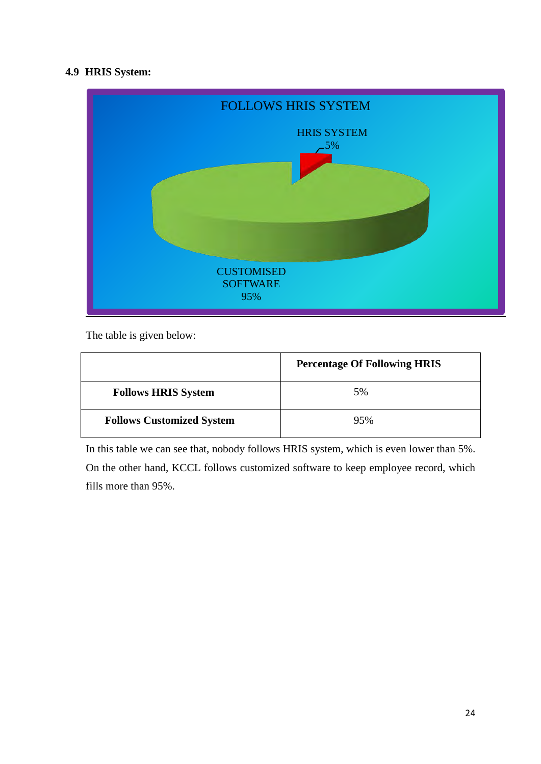## **4.9 HRIS System:**



The table is given below:

|                                  | <b>Percentage Of Following HRIS</b> |
|----------------------------------|-------------------------------------|
| <b>Follows HRIS System</b>       | 5%                                  |
| <b>Follows Customized System</b> | 95%                                 |

In this table we can see that, nobody follows HRIS system, which is even lower than 5%. On the other hand, KCCL follows customized software to keep employee record, which fills more than 95%.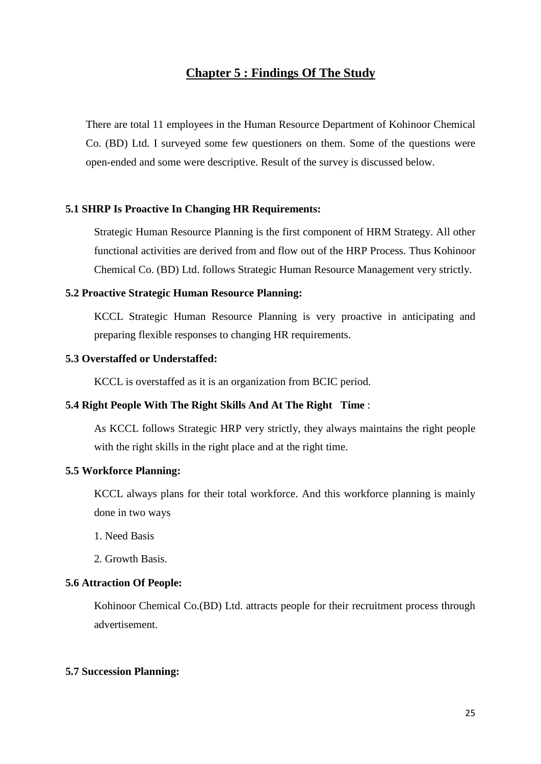## **Chapter 5 : Findings Of The Study**

There are total 11 employees in the Human Resource Department of Kohinoor Chemical Co. (BD) Ltd. I surveyed some few questioners on them. Some of the questions were open-ended and some were descriptive. Result of the survey is discussed below.

#### **5.1 SHRP Is Proactive In Changing HR Requirements:**

Strategic Human Resource Planning is the first component of HRM Strategy. All other functional activities are derived from and flow out of the HRP Process. Thus Kohinoor Chemical Co. (BD) Ltd. follows Strategic Human Resource Management very strictly.

#### **5.2 Proactive Strategic Human Resource Planning:**

KCCL Strategic Human Resource Planning is very proactive in anticipating and preparing flexible responses to changing HR requirements.

#### **5.3 Overstaffed or Understaffed:**

KCCL is overstaffed as it is an organization from BCIC period.

#### **5.4 Right People With The Right Skills And At The Right Time** :

As KCCL follows Strategic HRP very strictly, they always maintains the right people with the right skills in the right place and at the right time.

#### **5.5 Workforce Planning:**

KCCL always plans for their total workforce. And this workforce planning is mainly done in two ways

1. Need Basis

2. Growth Basis.

#### **5.6 Attraction Of People:**

Kohinoor Chemical Co.(BD) Ltd. attracts people for their recruitment process through advertisement.

#### **5.7 Succession Planning:**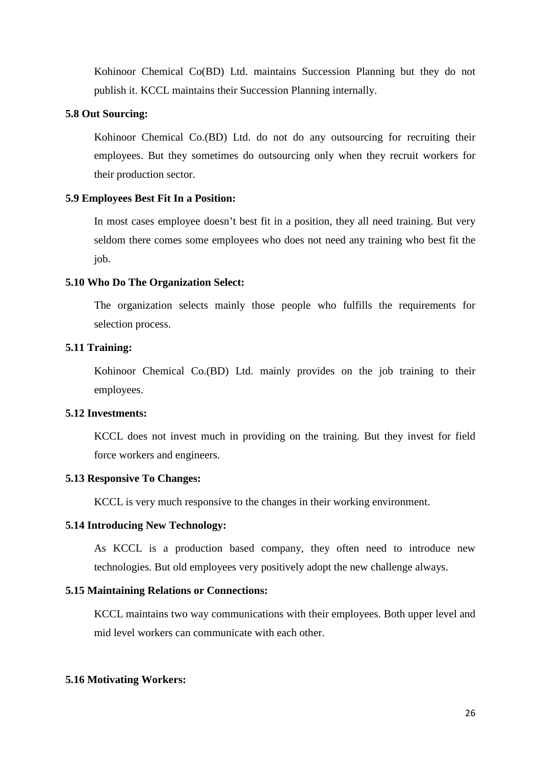Kohinoor Chemical Co(BD) Ltd. maintains Succession Planning but they do not publish it. KCCL maintains their Succession Planning internally.

#### **5.8 Out Sourcing:**

Kohinoor Chemical Co.(BD) Ltd. do not do any outsourcing for recruiting their employees. But they sometimes do outsourcing only when they recruit workers for their production sector.

#### **5.9 Employees Best Fit In a Position:**

In most cases employee doesn't best fit in a position, they all need training. But very seldom there comes some employees who does not need any training who best fit the job.

#### **5.10 Who Do The Organization Select:**

The organization selects mainly those people who fulfills the requirements for selection process.

#### **5.11 Training:**

Kohinoor Chemical Co.(BD) Ltd. mainly provides on the job training to their employees.

#### **5.12 Investments:**

KCCL does not invest much in providing on the training. But they invest for field force workers and engineers.

#### **5.13 Responsive To Changes:**

KCCL is very much responsive to the changes in their working environment.

#### **5.14 Introducing New Technology:**

As KCCL is a production based company, they often need to introduce new technologies. But old employees very positively adopt the new challenge always.

#### **5.15 Maintaining Relations or Connections:**

KCCL maintains two way communications with their employees. Both upper level and mid level workers can communicate with each other.

#### **5.16 Motivating Workers:**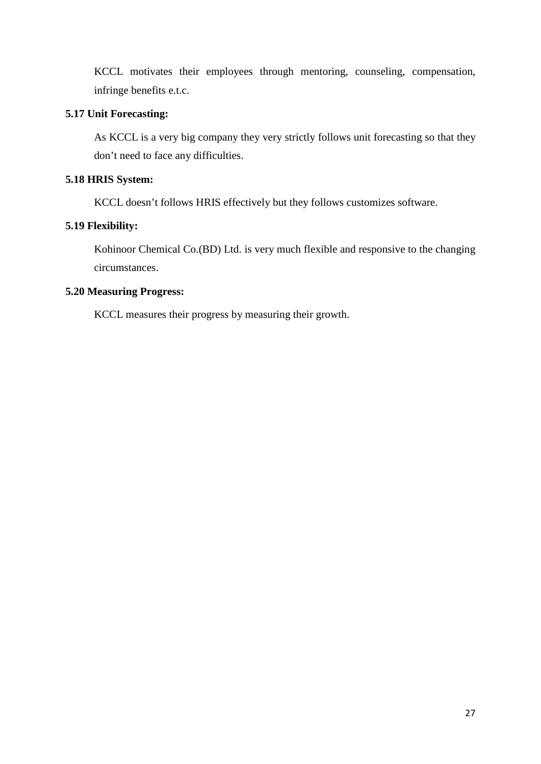KCCL motivates their employees through mentoring, counseling, compensation, infringe benefits e.t.c.

#### **5.17 Unit Forecasting:**

As KCCL is a very big company they very strictly follows unit forecasting so that they don't need to face any difficulties.

## **5.18 HRIS System:**

KCCL doesn't follows HRIS effectively but they follows customizes software.

## **5.19 Flexibility:**

Kohinoor Chemical Co.(BD) Ltd. is very much flexible and responsive to the changing circumstances.

#### **5.20 Measuring Progress:**

KCCL measures their progress by measuring their growth.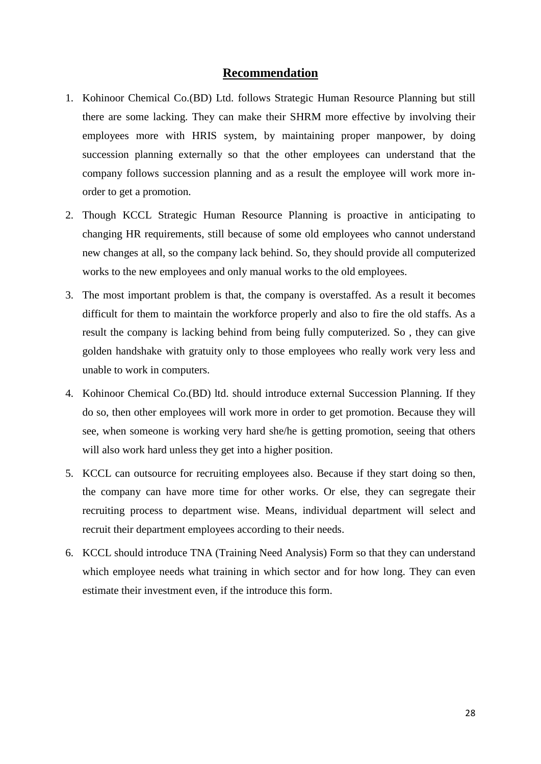#### **Recommendation**

- 1. Kohinoor Chemical Co.(BD) Ltd. follows Strategic Human Resource Planning but still there are some lacking. They can make their SHRM more effective by involving their employees more with HRIS system, by maintaining proper manpower, by doing succession planning externally so that the other employees can understand that the company follows succession planning and as a result the employee will work more inorder to get a promotion.
- 2. Though KCCL Strategic Human Resource Planning is proactive in anticipating to changing HR requirements, still because of some old employees who cannot understand new changes at all, so the company lack behind. So, they should provide all computerized works to the new employees and only manual works to the old employees.
- 3. The most important problem is that, the company is overstaffed. As a result it becomes difficult for them to maintain the workforce properly and also to fire the old staffs. As a result the company is lacking behind from being fully computerized. So , they can give golden handshake with gratuity only to those employees who really work very less and unable to work in computers.
- 4. Kohinoor Chemical Co.(BD) ltd. should introduce external Succession Planning. If they do so, then other employees will work more in order to get promotion. Because they will see, when someone is working very hard she/he is getting promotion, seeing that others will also work hard unless they get into a higher position.
- 5. KCCL can outsource for recruiting employees also. Because if they start doing so then, the company can have more time for other works. Or else, they can segregate their recruiting process to department wise. Means, individual department will select and recruit their department employees according to their needs.
- 6. KCCL should introduce TNA (Training Need Analysis) Form so that they can understand which employee needs what training in which sector and for how long. They can even estimate their investment even, if the introduce this form.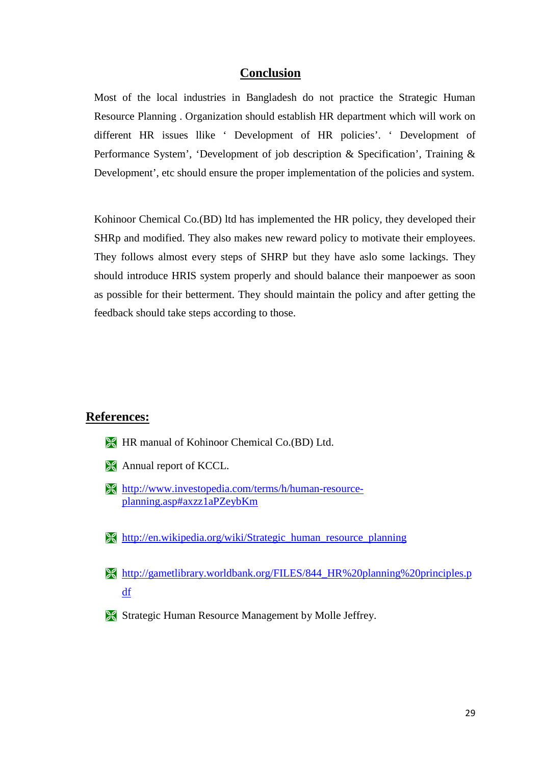## **Conclusion**

Most of the local industries in Bangladesh do not practice the Strategic Human Resource Planning . Organization should establish HR department which will work on different HR issues llike ' Development of HR policies'. ' Development of Performance System', 'Development of job description & Specification', Training & Development', etc should ensure the proper implementation of the policies and system.

Kohinoor Chemical Co.(BD) ltd has implemented the HR policy, they developed their SHRp and modified. They also makes new reward policy to motivate their employees. They follows almost every steps of SHRP but they have aslo some lackings. They should introduce HRIS system properly and should balance their manpoewer as soon as possible for their betterment. They should maintain the policy and after getting the feedback should take steps according to those.

## **References:**

- **HR** manual of Kohinoor Chemical Co.(BD) Ltd.
- **Annual report of KCCL.**
- [http://www.investopedia.com/terms/h/human-resource](http://www.investopedia.com/terms/h/human-resource-planning.asp%23axzz1aPZeybKm)[planning.asp#axzz1aPZeybKm](http://www.investopedia.com/terms/h/human-resource-planning.asp%23axzz1aPZeybKm)
- [http://en.wikipedia.org/wiki/Strategic\\_human\\_resource\\_planning](http://en.wikipedia.org/wiki/Strategic_human_resource_planning)
- [http://gametlibrary.worldbank.org/FILES/844\\_HR%20planning%20principles.p](http://gametlibrary.worldbank.org/FILES/844_HR%20planning%20principles.pdf) [df](http://gametlibrary.worldbank.org/FILES/844_HR%20planning%20principles.pdf)
- **Strategic Human Resource Management by Molle Jeffrey.**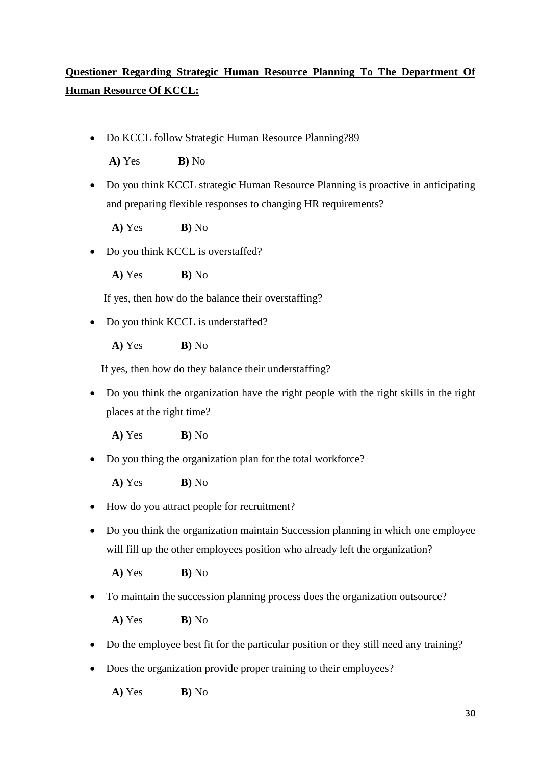## **Questioner Regarding Strategic Human Resource Planning To The Department Of Human Resource Of KCCL:**

• Do KCCL follow Strategic Human Resource Planning?89

**A)** Yes **B)** No

• Do you think KCCL strategic Human Resource Planning is proactive in anticipating and preparing flexible responses to changing HR requirements?

**A)** Yes **B)** No

• Do you think KCCL is overstaffed?

**A)** Yes **B)** No

If yes, then how do the balance their overstaffing?

• Do you think KCCL is understaffed?

**A)** Yes **B)** No

If yes, then how do they balance their understaffing?

• Do you think the organization have the right people with the right skills in the right places at the right time?

**A)** Yes **B)** No

• Do you thing the organization plan for the total workforce?

**A)** Yes **B)** No

- How do you attract people for recruitment?
- Do you think the organization maintain Succession planning in which one employee will fill up the other employees position who already left the organization?

**A)** Yes **B)** No

• To maintain the succession planning process does the organization outsource?

**A)** Yes **B)** No

- Do the employee best fit for the particular position or they still need any training?
- Does the organization provide proper training to their employees?

**A)** Yes **B)** No